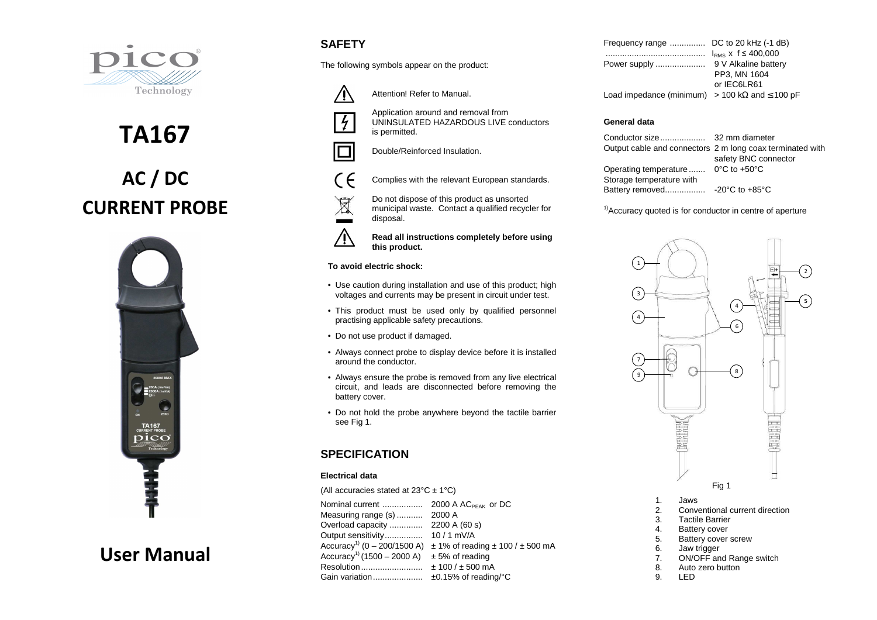

**AC / DC CURRENT PROBE** 

**TA167** 



# **User Manual**

# **SAFETY**

The following symbols appear on the product:

Attention! Refer to Manual.

Application around and removal from

UNINSULATED HAZARDOUS LIVE conductors





is permitted.Double/Reinforced Insulation.

 $\epsilon$ 



Complies with the relevant European standards.

- $\boxtimes$  municipal waste. Contact a qualified recycler for disposal.
- /N **Read all instructions completely before using this product.**

#### **To avoid electric shock:**

- Use caution during installation and use of this product; high voltages and currents may be present in circuit under test.
- This product must be used only by qualified personnel practising applicable safety precautions.
- Do not use product if damaged.
- Always connect probe to display device before it is installed around the conductor.
- Always ensure the probe is removed from any live electrical circuit, and leads are disconnected before removing the battery cover.
- Do not hold the probe anywhere beyond the tactile barrier see Fig 1.

# **SPECIFICATION**

#### **Electrical data**

(All accuracies stated at  $23^{\circ}$ C  $\pm$  1°C)

| Measuring range (s)                     | 2000 A                                       |
|-----------------------------------------|----------------------------------------------|
|                                         |                                              |
| Output sensitivity                      | $10/1$ mV/A                                  |
| Accuracy <sup>1)</sup> (0 - 200/1500 A) | $\pm$ 1% of reading $\pm$ 100 / $\pm$ 500 mA |
| Accuracy <sup>1)</sup> (1500 – 2000 A)  | $± 5%$ of reading                            |
| Resolution                              | $± 100 / ± 500$ mA                           |
| Gain variation                          | ±0.15% of reading/°C                         |
|                                         |                                              |

| Frequency range  DC to 20 kHz (-1 dB)                       |                              |
|-------------------------------------------------------------|------------------------------|
|                                                             | $I_{RMS}$ x f $\leq$ 400,000 |
| Power supply                                                | 9 V Alkaline battery         |
|                                                             | PP3. MN 1604                 |
|                                                             | or IEC6LR61                  |
| Load impedance (minimum) > 100 k $\Omega$ and $\leq$ 100 pF |                              |

### **General data**

Conductor size ................... 32 mm diameter Output cable and connectors 2 m long coax terminated with safety BNC connector Operating temperature ....... 0°C to +50°C Storage temperature with Battery removed ................. -20°C to +85°C

 $<sup>1</sup>$ Accuracy quoted is for conductor in centre of aperture</sup>



- 1. Jaws
- 2. Conventional current direction
- 3. Tactile Barrier
- 4. Battery cover
- 5. Battery cover screw
- 6. Jaw trigger<br>7. ON/OFF an
- 7. ON/OFF and Range switch
- 8. Auto zero button
- 9. LED